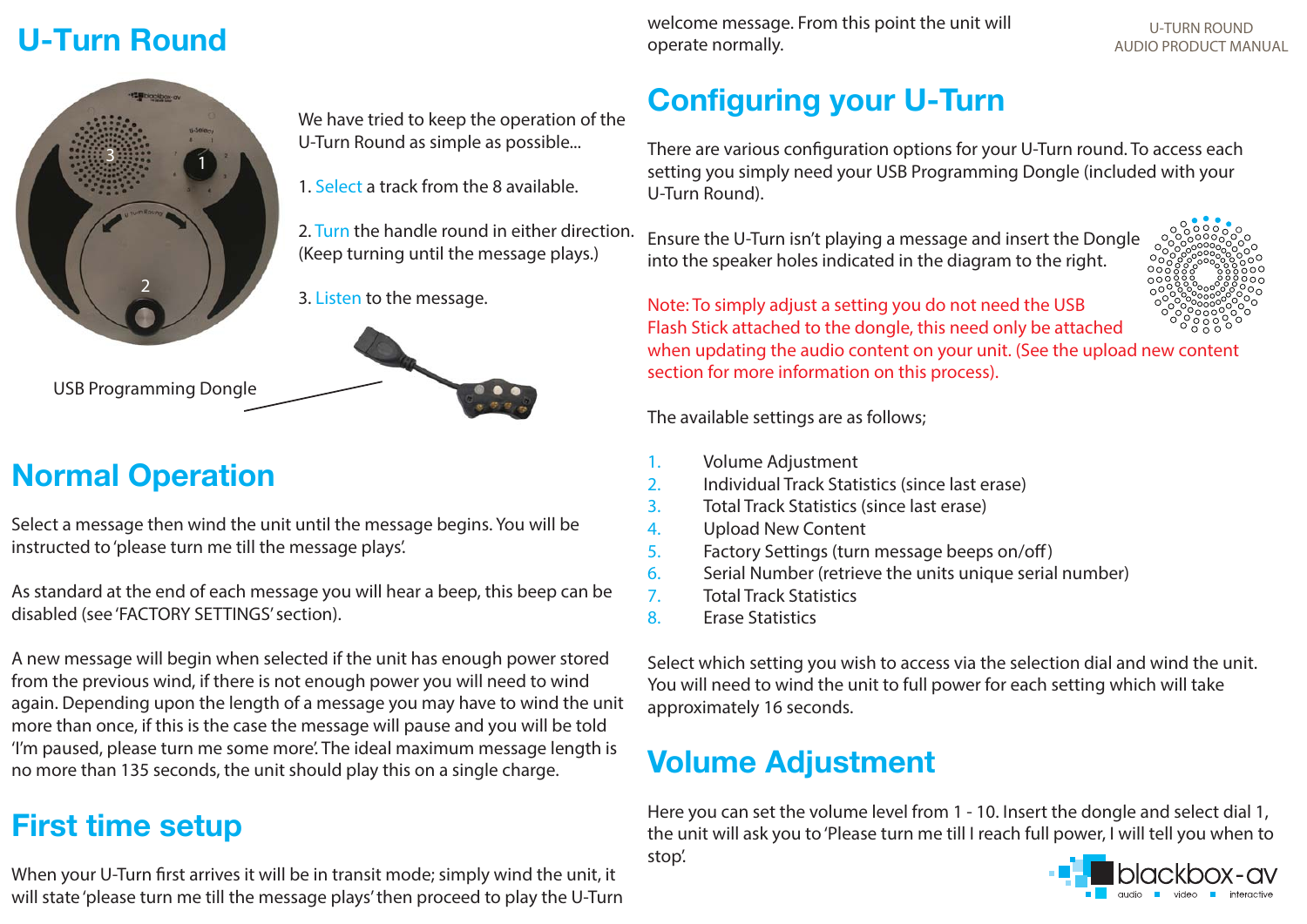## **U-Turn Round**



We have tried to keep the operation of the U-Turn Round as simple as possible...

- 1. Select a track from the 8 available.
- 2. Turn the handle round in either direction. (Keep turning until the message plays.)
- 3. Listen to the message.



# **Normal Operation**

USB Programming Dongle

Select a message then wind the unit until the message begins. You will be instructed to 'please turn me till the message plays'.

As standard at the end of each message you will hear a beep, this beep can be disabled (see 'FACTORY SETTINGS' section).

A new message will begin when selected if the unit has enough power stored from the previous wind, if there is not enough power you will need to wind again. Depending upon the length of a message you may have to wind the unit more than once, if this is the case the message will pause and you will be told 'I'm paused, please turn me some more'. The ideal maximum message length is no more than 135 seconds, the unit should play this on a single charge.

## **First time setup**

When your U-Turn first arrives it will be in transit mode; simply wind the unit, it will state 'please turn me till the message plays' then proceed to play the U-Turn

**AUDIO PRODUCT MANUAL Superved Service Controlly.** The community operate normally. welcome message. From this point the unit will operate normally.

# U-TURN ROUND

# **Configuring your U-Turn**

There are various configuration options for your U-Turn round. To access each setting you simply need your USB Programming Dongle (included with your U-Turn Round).

Ensure the U-Turn isn't playing a message and insert the Dongle into the speaker holes indicated in the diagram to the right.



Note: To simply adjust a setting you do not need the USB Flash Stick attached to the dongle, this need only be attached

when updating the audio content on your unit. (See the upload new content section for more information on this process).

The available settings are as follows;

- 1. Volume Adjustment
- 2. Individual Track Statistics (since last erase)
- 3. Total Track Statistics (since last erase)
- 4. Upload New Content
- 5. Factory Settings (turn message beeps on/off)
- 6. Serial Number (retrieve the units unique serial number)
- 7. Total Track Statistics
- 8. Erase Statistics

Select which setting you wish to access via the selection dial and wind the unit. You will need to wind the unit to full power for each setting which will take approximately 16 seconds.

# **Volume Adjustment**

Here you can set the volume level from 1 - 10. Insert the dongle and select dial 1, the unit will ask you to 'Please turn me till I reach full power, I will tell you when to stop'.

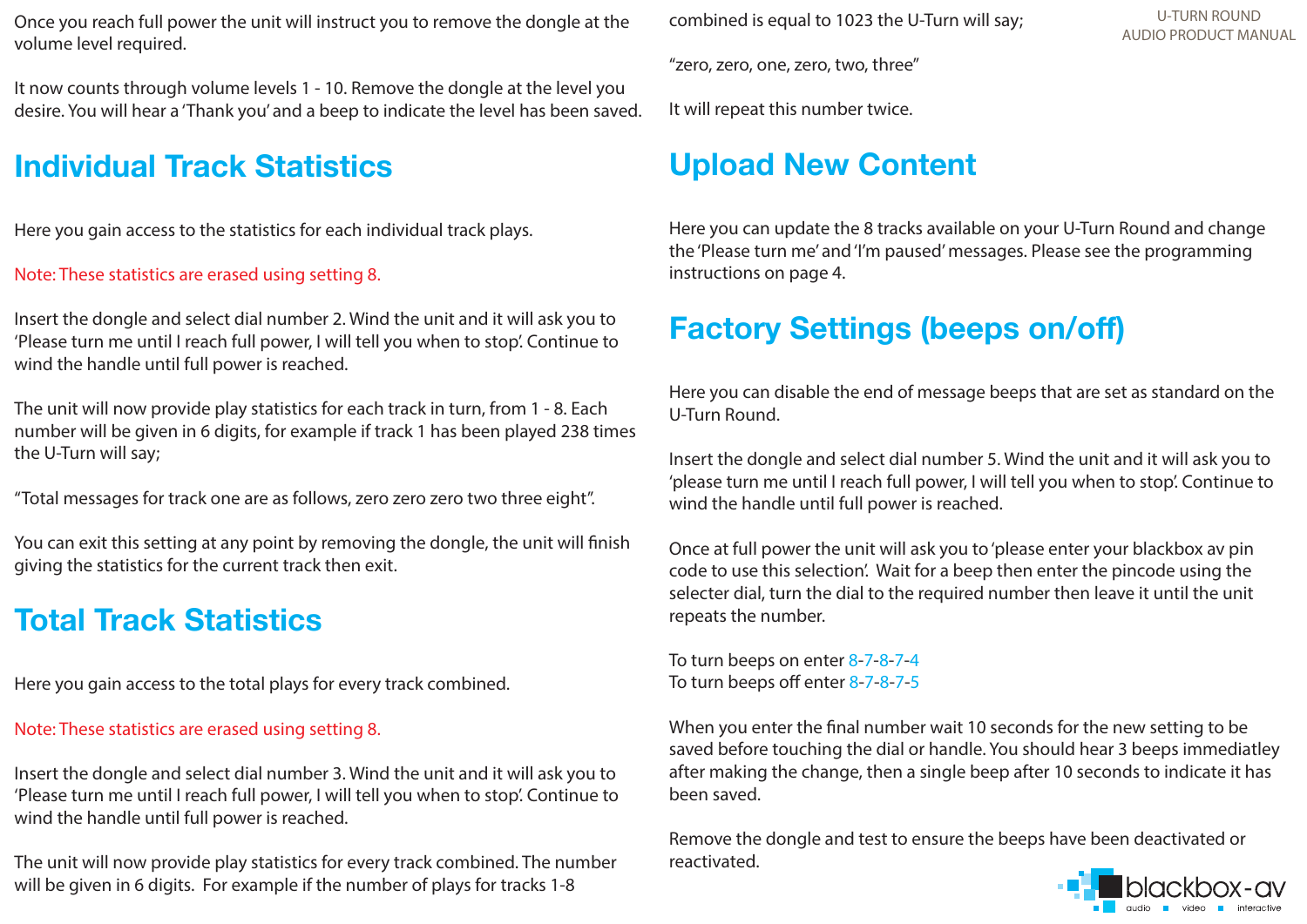Once you reach full power the unit will instruct you to remove the dongle at the volume level required.

It now counts through volume levels 1 - 10. Remove the dongle at the level you desire. You will hear a 'Thank you' and a beep to indicate the level has been saved.

## **Individual Track Statistics**

Here you gain access to the statistics for each individual track plays.

### Note: These statistics are erased using setting 8.

Insert the dongle and select dial number 2. Wind the unit and it will ask you to 'Please turn me until I reach full power, I will tell you when to stop'. Continue to wind the handle until full power is reached.

The unit will now provide play statistics for each track in turn, from 1 - 8. Each number will be given in 6 digits, for example if track 1 has been played 238 times the U-Turn will say;

"Total messages for track one are as follows, zero zero zero two three eight".

You can exit this setting at any point by removing the dongle, the unit will finish giving the statistics for the current track then exit.

## **Total Track Statistics**

Here you gain access to the total plays for every track combined.

### Note: These statistics are erased using setting 8.

Insert the dongle and select dial number 3. Wind the unit and it will ask you to 'Please turn me until I reach full power, I will tell you when to stop'. Continue to wind the handle until full power is reached.

The unit will now provide play statistics for every track combined. The number will be given in 6 digits. For example if the number of plays for tracks 1-8

combined is equal to 1023 the U-Turn will say;

"zero, zero, one, zero, two, three"

It will repeat this number twice.

# **Upload New Content**

Here you can update the 8 tracks available on your U-Turn Round and change the 'Please turn me' and 'I'm paused' messages. Please see the programming instructions on page 4.

# **Factory Settings (beeps on/off)**

Here you can disable the end of message beeps that are set as standard on the U-Turn Round.

Insert the dongle and select dial number 5. Wind the unit and it will ask you to 'please turn me until I reach full power, I will tell you when to stop'. Continue to wind the handle until full power is reached.

Once at full power the unit will ask you to 'please enter your blackbox av pin code to use this selection'. Wait for a beep then enter the pincode using the selecter dial, turn the dial to the required number then leave it until the unit repeats the number.

To turn beeps on enter 8-7-8-7-4 To turn beeps off enter 8-7-8-7-5

When you enter the final number wait 10 seconds for the new setting to be saved before touching the dial or handle. You should hear 3 beeps immediatley after making the change, then a single beep after 10 seconds to indicate it has been saved.

Remove the dongle and test to ensure the beeps have been deactivated or reactivated.

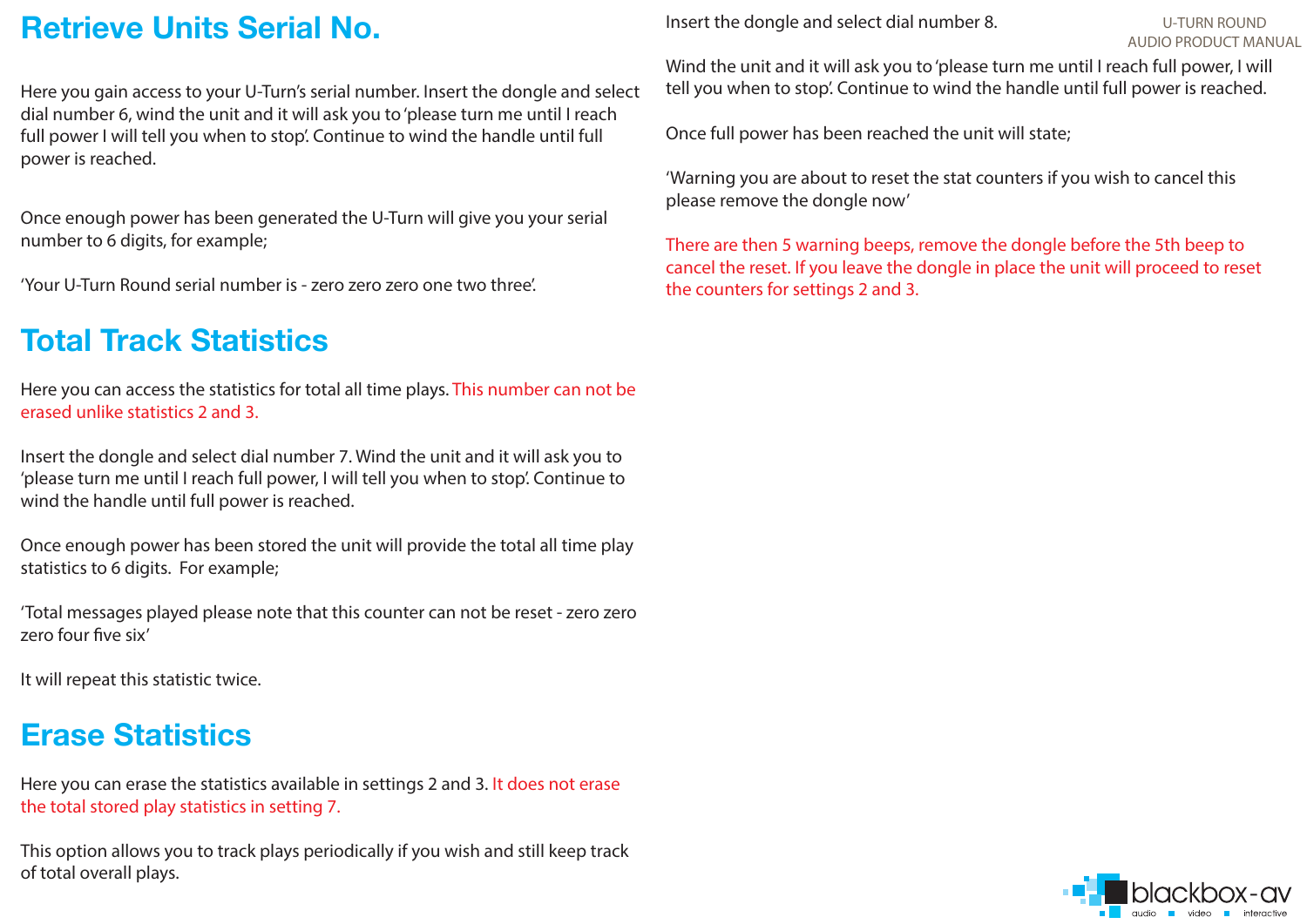## **Retrieve Units Serial No.**

Here you gain access to your U-Turn's serial number. Insert the dongle and select dial number 6, wind the unit and it will ask you to 'please turn me until I reach full power I will tell you when to stop'. Continue to wind the handle until full power is reached.

Once enough power has been generated the U-Turn will give you your serial number to 6 digits, for example;

'Your U-Turn Round serial number is - zero zero zero one two three'.

## **Total Track Statistics**

Here you can access the statistics for total all time plays. This number can not be erased unlike statistics 2 and 3.

Insert the dongle and select dial number 7. Wind the unit and it will ask you to 'please turn me until I reach full power, I will tell you when to stop'. Continue to wind the handle until full power is reached.

Once enough power has been stored the unit will provide the total all time play statistics to 6 digits. For example;

'Total messages played please note that this counter can not be reset - zero zero zero four five six'

It will repeat this statistic twice.

## **Erase Statistics**

Here you can erase the statistics available in settings 2 and 3. It does not erase the total stored play statistics in setting 7.

This option allows you to track plays periodically if you wish and still keep track of total overall plays.

Insert the dongle and select dial number 8.

#### U-TURN ROUNDAUDIO PRODUCT MANUAL

Wind the unit and it will ask you to 'please turn me until I reach full power, I will tell you when to stop'. Continue to wind the handle until full power is reached.

Once full power has been reached the unit will state;

'Warning you are about to reset the stat counters if you wish to cancel this please remove the dongle now'

There are then 5 warning beeps, remove the dongle before the 5th beep to cancel the reset. If you leave the dongle in place the unit will proceed to reset the counters for settings 2 and 3.

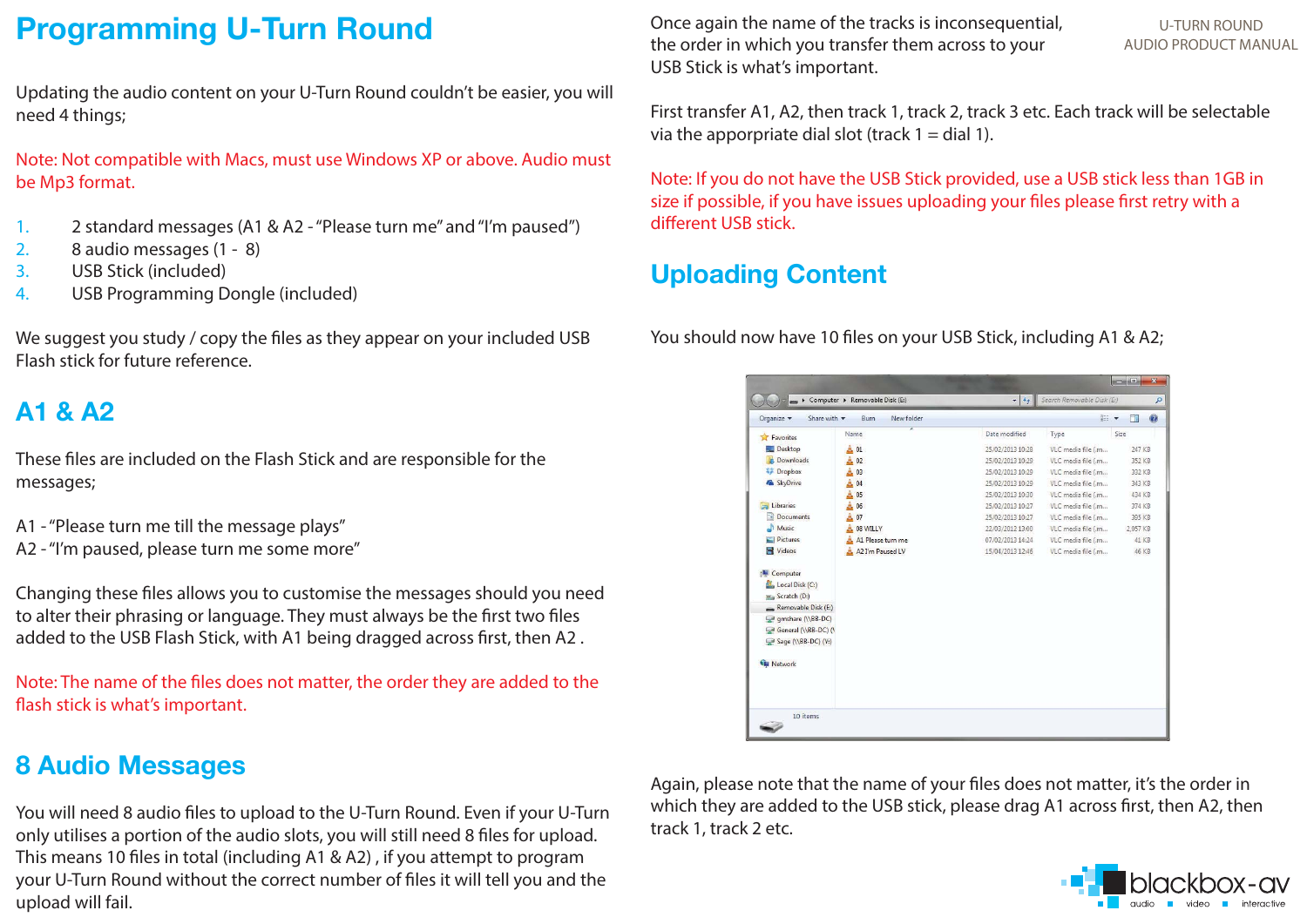## **Programming U-Turn Round**

Updating the audio content on your U-Turn Round couldn't be easier, you will need 4 things;

Note: Not compatible with Macs, must use Windows XP or above. Audio must be Mp3 format.

- 1. 2 standard messages (A1 & A2 "Please turn me" and "I'm paused")
- 2. 8 audio messages (1 8)
- 3. USB Stick (included)
- 4. USB Programming Dongle (included)

We suggest you study / copy the files as they appear on your included USB Flash stick for future reference.

### **A1 & A2**

These files are included on the Flash Stick and are responsible for the messages;

- A1 "Please turn me till the message plays"
- A2 "I'm paused, please turn me some more"

Changing these files allows you to customise the messages should you need to alter their phrasing or language. They must always be the first two files added to the USB Flash Stick, with A1 being dragged across first, then A2 .

Note: The name of the files does not matter, the order they are added to the flash stick is what's important.

### **8 Audio Messages**

You will need 8 audio files to upload to the U-Turn Round. Even if your U-Turn only utilises a portion of the audio slots, you will still need 8 files for upload. This means 10 files in total (including A1 & A2) , if you attempt to program your U-Turn Round without the correct number of files it will tell you and the upload will fail.

Once again the name of the tracks is inconsequential, the order in which you transfer them across to your USB Stick is what's important.

U-TURN ROUNDAUDIO PRODUCT MANUAL

First transfer A1, A2, then track 1, track 2, track 3 etc. Each track will be selectable via the apporpriate dial slot (track  $1 =$  dial 1).

Note: If you do not have the USB Stick provided, use a USB stick less than 1GB in size if possible, if you have issues uploading your files please first retry with a different USB stick.

### **Uploading Content**

You should now have 10 files on your USB Stick, including A1 & A2;

| Organize v<br>Share with v               | New folder<br><b>Burn</b> |                  | <b>H: ▼</b>        | $\circledcirc$<br>FT |
|------------------------------------------|---------------------------|------------------|--------------------|----------------------|
| Favorites                                | Name                      | Date modified    | Type               | Size                 |
| Desktop                                  | $A$ 01                    | 25/02/2013 10:28 | VLC media file (.m | 247 KB               |
| <b>Ja.</b> Downloads                     | 02                        | 25/02/2013 10:29 | VLC media file (.m | 352 KB               |
| Dropbox                                  | 03                        | 25/02/2013 10:29 | VLC media file (.m | 332 KB               |
| & SkyDrive                               | 04                        | 25/02/2013 10:29 | VLC media file (.m | 343 KB               |
|                                          | 05                        | 25/02/2013 10:30 | VLC media file (.m | 434 KB               |
| Libraries                                | 06                        | 25/02/2013 10:27 | VLC media file (.m | 374 KB               |
| <b>Documents</b><br>÷ă                   | 07                        | 25/02/2013 10:27 | VLC media file (.m | 395 KB               |
| Music                                    | 08 WILLY                  | 22/03/2012 13:00 | VLC media file (.m | 2.057 KB             |
| Pictures                                 | A1 Please turn me         | 07/02/2013 14:24 | VLC media file (.m | 41 KB                |
| <b>N</b> Videos                          | A2 I'm Paused LV          | 15/04/2013 12:46 | VLC media file (.m | 46 KB                |
| Local Disk (C:)<br>ma Scratch (D:)       |                           |                  |                    |                      |
| Removable Disk (E:)<br>gmshare (\\BB-DC) |                           |                  |                    |                      |
| General (\\BB-DC) (\                     |                           |                  |                    |                      |
| Sage (\\BB-DC) (Y:)                      |                           |                  |                    |                      |
|                                          |                           |                  |                    |                      |
| <b>Car Network</b>                       |                           |                  |                    |                      |
|                                          |                           |                  |                    |                      |
|                                          |                           |                  |                    |                      |
|                                          |                           |                  |                    |                      |

Again, please note that the name of your files does not matter, it's the order in which they are added to the USB stick, please drag A1 across first, then A2, then track 1, track 2 etc.

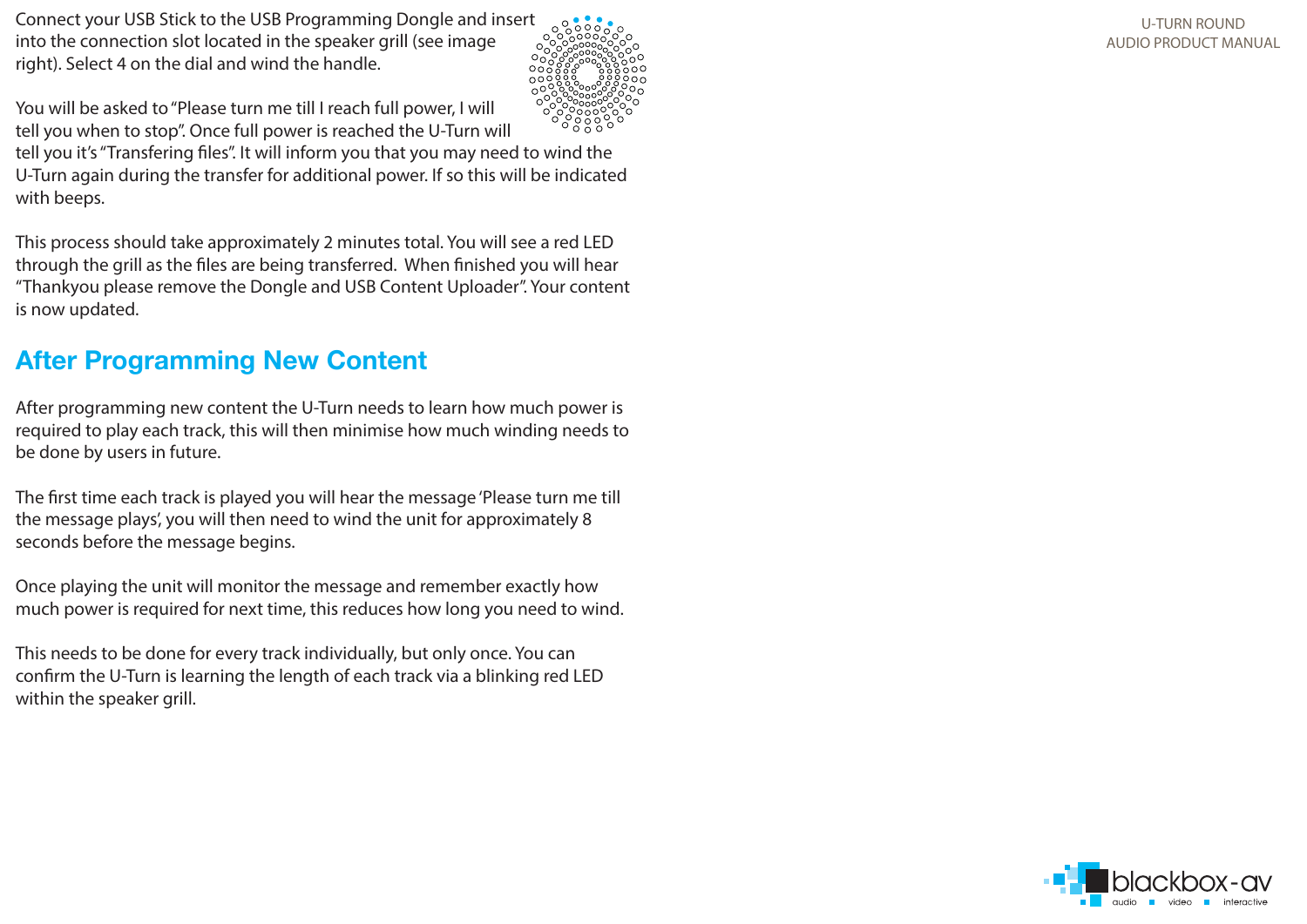Connect your USB Stick to the USB Programming Dongle and insert into the connection slot located in the speaker grill (see image right). Select 4 on the dial and wind the handle.



You will be asked to "Please turn me till I reach full power, I will tell you when to stop". Once full power is reached the U-Turn will tell you it's "Transfering files". It will inform you that you may need to wind the

U-Turn again during the transfer for additional power. If so this will be indicated with beeps.

This process should take approximately 2 minutes total. You will see a red LED through the grill as the files are being transferred. When finished you will hear "Thankyou please remove the Dongle and USB Content Uploader". Your content is now updated.

### **After Programming New Content**

After programming new content the U-Turn needs to learn how much power is required to play each track, this will then minimise how much winding needs to be done by users in future.

The first time each track is played you will hear the message 'Please turn me till the message plays', you will then need to wind the unit for approximately 8 seconds before the message begins.

Once playing the unit will monitor the message and remember exactly how much power is required for next time, this reduces how long you need to wind.

This needs to be done for every track individually, but only once. You can confirm the U-Turn is learning the length of each track via a blinking red LED within the speaker grill.

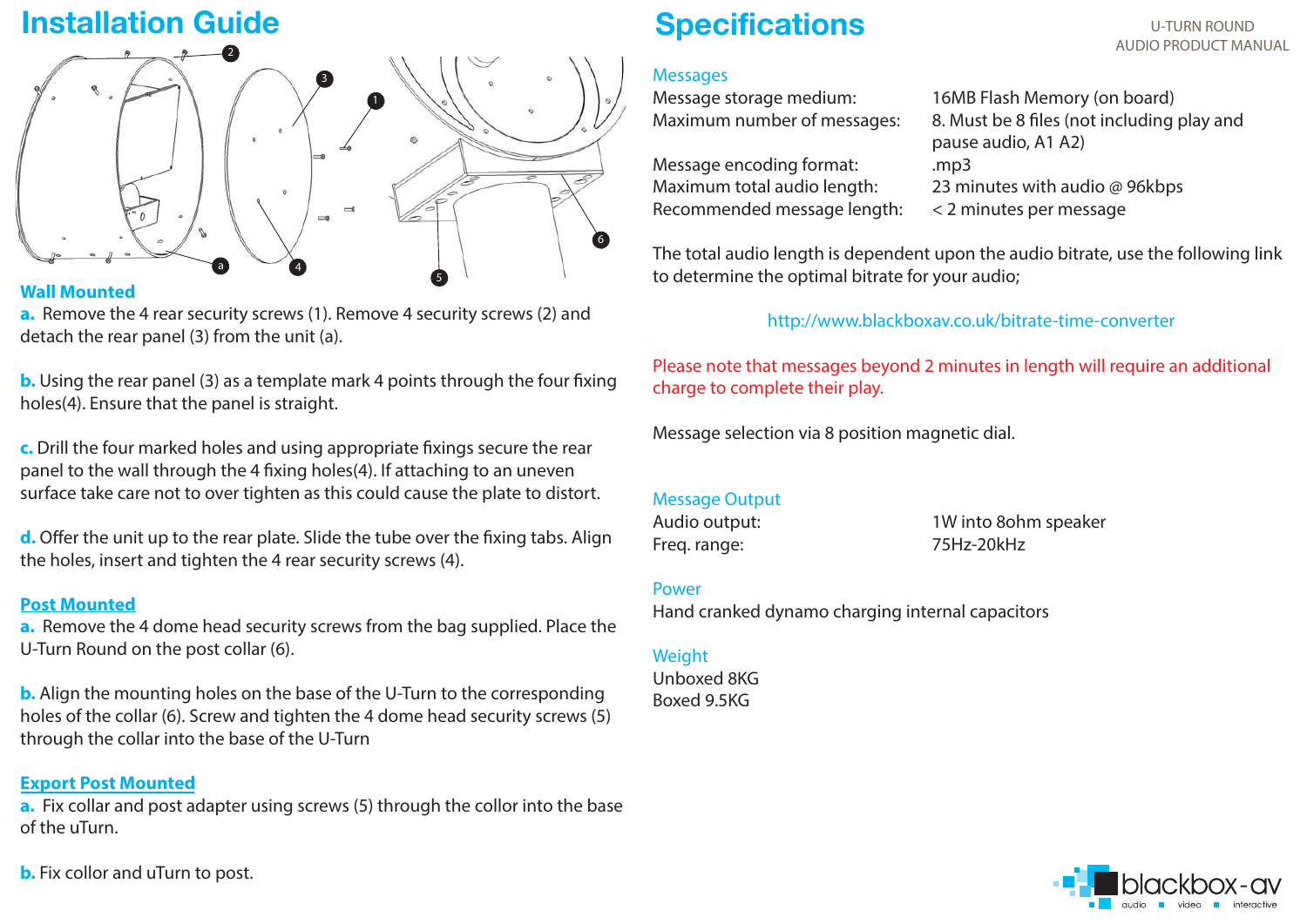## **Installation Guide**



### **Wall Mounted**

**a.** Remove the 4 rear security screws (1). Remove 4 security screws (2) and detach the rear panel (3) from the unit (a).

**b.** Using the rear panel (3) as a template mark 4 points through the four fixing holes(4). Ensure that the panel is straight.

**c.** Drill the four marked holes and using appropriate fixings secure the rear panel to the wall through the 4 fixing holes(4). If attaching to an uneven surface take care not to over tighten as this could cause the plate to distort.

**d.** Offer the unit up to the rear plate. Slide the tube over the fixing tabs. Align the holes, insert and tighten the 4 rear security screws (4).

### **Post Mounted**

**a.** Remove the 4 dome head security screws from the bag supplied. Place the U-Turn Round on the post collar (6).

**b.** Align the mounting holes on the base of the U-Turn to the corresponding holes of the collar (6). Screw and tighten the 4 dome head security screws (5) through the collar into the base of the U-Turn

### **Export Post Mounted**

**a.** Fix collar and post adapter using screws (5) through the collor into the base of the uTurn.

**b.** Fix collor and uTurn to post.

## **Specifications**

### **Messages**

Message storage medium: 16MB Flash Memory (on board)

Message encoding format: .mp3 Maximum total audio length:  $23$  minutes with audio @ 96kbps Recommended message length: < 2 minutes per message

Maximum number of messages: 8. Must be 8 files (not including play and pause audio, A1 A2)

The total audio length is dependent upon the audio bitrate, use the following link to determine the optimal bitrate for your audio;

### http://www.blackboxav.co.uk/bitrate-time-converter

Please note that messages beyond 2 minutes in length will require an additional charge to complete their play.

Message selection via 8 position magnetic dial.

#### Message Output

Freq. range: 75Hz-20kHz

Audio output: 1W into 8ohm speaker

Power

Hand cranked dynamo charging internal capacitors

#### Weight

Unboxed 8KGBoxed 9.5KG



U-TURN ROUNDAUDIO PRODUCT MANUAL